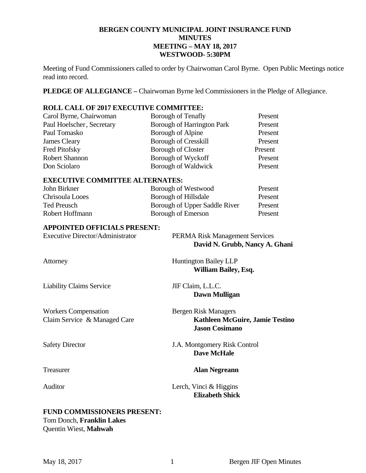## **BERGEN COUNTY MUNICIPAL JOINT INSURANCE FUND MINUTES MEETING – MAY 18, 2017 WESTWOOD- 5:30PM**

Meeting of Fund Commissioners called to order by Chairwoman Carol Byrne. Open Public Meetings notice read into record.

**PLEDGE OF ALLEGIANCE –** Chairwoman Byrne led Commissioners in the Pledge of Allegiance.

## **ROLL CALL OF 2017 EXECUTIVE COMMITTEE:**

| Carol Byrne, Chairwoman   | Borough of Tenafly                | Present |
|---------------------------|-----------------------------------|---------|
| Paul Hoelscher, Secretary | <b>Borough of Harrington Park</b> | Present |
| Paul Tomasko              | Borough of Alpine                 | Present |
| James Cleary              | <b>Borough of Cresskill</b>       | Present |
| Fred Pitofsky             | <b>Borough of Closter</b>         | Present |
| <b>Robert Shannon</b>     | Borough of Wyckoff                | Present |
| Don Sciolaro              | Borough of Waldwick               | Present |

## **EXECUTIVE COMMITTEE ALTERNATES:**

| John Birkner    | Borough of Westwood           | Present |
|-----------------|-------------------------------|---------|
| Chrisoula Looes | Borough of Hillsdale          | Present |
| Ted Preusch     | Borough of Upper Saddle River | Present |
| Robert Hoffmann | Borough of Emerson            | Present |

### **APPOINTED OFFICIALS PRESENT:**

| <b>Executive Director/Administrator</b>                         | <b>PERMA Risk Management Services</b><br>David N. Grubb, Nancy A. Ghani                 |
|-----------------------------------------------------------------|-----------------------------------------------------------------------------------------|
| Attorney                                                        | <b>Huntington Bailey LLP</b><br><b>William Bailey, Esq.</b>                             |
| <b>Liability Claims Service</b>                                 | JIF Claim, L.L.C.<br>Dawn Mulligan                                                      |
| <b>Workers Compensation</b><br>Claim Service & Managed Care     | Bergen Risk Managers<br><b>Kathleen McGuire, Jamie Testino</b><br><b>Jason Cosimano</b> |
| <b>Safety Director</b>                                          | J.A. Montgomery Risk Control<br><b>Dave McHale</b>                                      |
| Treasurer                                                       | <b>Alan Negreann</b>                                                                    |
| Auditor                                                         | Lerch, Vinci & Higgins<br><b>Elizabeth Shick</b>                                        |
| <b>FUND COMMISSIONERS PRESENT:</b><br>Tom Donch, Franklin Lakes |                                                                                         |

Quentin Wiest, **Mahwah**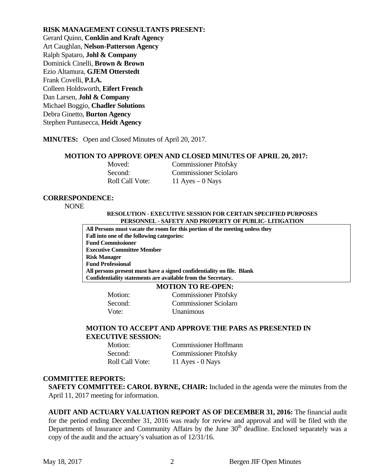**RISK MANAGEMENT CONSULTANTS PRESENT:**  Gerard Quinn, **Conklin and Kraft Agency**  Art Caughlan, **Nelson-Patterson Agency**  Ralph Spataro, **Johl & Company** Dominick Cinelli, **Brown & Brown** Ezio Altamura, **GJEM Otterstedt**  Frank Covelli, **P.I.A.**  Colleen Holdsworth, **Eifert French**  Dan Larsen, **Johl & Company**  Michael Boggio, **Chadler Solutions**  Debra Ginetto, **Burton Agency**  Stephen Puntasecca, **Heidt Agency** 

**MINUTES:** Open and Closed Minutes of April 20, 2017.

#### **MOTION TO APPROVE OPEN AND CLOSED MINUTES OF APRIL 20, 2017:**

| Moved:          | <b>Commissioner Pitofsky</b> |
|-----------------|------------------------------|
| Second:         | <b>Commissioner Sciolaro</b> |
| Roll Call Vote: | 11 Ayes $-0$ Nays            |

#### **CORRESPONDENCE:**

NONE

#### **RESOLUTION - EXECUTIVE SESSION FOR CERTAIN SPECIFIED PURPOSES PERSONNEL - SAFETY AND PROPERTY OF PUBLIC- LITIGATION**

**All Persons must vacate the room for this portion of the meeting unless they Fall into one of the following categories: Fund Commissioner Executive Committee Member Risk Manager Fund Professional All persons present must have a signed confidentiality on file. Blank Confidentiality statements are available from the Secretary.** 

#### **MOTION TO RE-OPEN:**

 Motion: Commissioner Pitofsky Second: Commissioner Sciolaro Vote: Unanimous

## **MOTION TO ACCEPT AND APPROVE THE PARS AS PRESENTED IN EXECUTIVE SESSION:**

| Motion:                | <b>Commissioner Hoffmann</b> |
|------------------------|------------------------------|
| Second:                | <b>Commissioner Pitofsky</b> |
| <b>Roll Call Vote:</b> | 11 Ayes - $0$ Nays           |

#### **COMMITTEE REPORTS:**

**SAFETY COMMITTEE: CAROL BYRNE, CHAIR:** Included in the agenda were the minutes from the April 11, 2017 meeting for information.

**AUDIT AND ACTUARY VALUATION REPORT AS OF DECEMBER 31, 2016:** The financial audit for the period ending December 31, 2016 was ready for review and approval and will be filed with the Departments of Insurance and Community Affairs by the June 30<sup>th</sup> deadline. Enclosed separately was a copy of the audit and the actuary's valuation as of 12/31/16.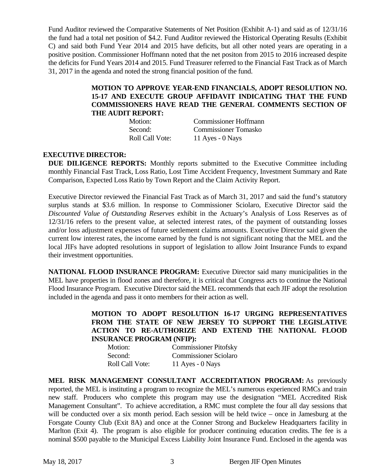Fund Auditor reviewed the Comparative Statements of Net Position (Exhibit A-1) and said as of 12/31/16 the fund had a total net position of \$4.2. Fund Auditor reviewed the Historical Operating Results (Exhibit C) and said both Fund Year 2014 and 2015 have deficits, but all other noted years are operating in a positive position. Commissioner Hoffmann noted that the net positon from 2015 to 2016 increased despite the deficits for Fund Years 2014 and 2015. Fund Treasurer referred to the Financial Fast Track as of March 31, 2017 in the agenda and noted the strong financial position of the fund.

## **MOTION TO APPROVE YEAR-END FINANCIALS, ADOPT RESOLUTION NO. 15-17 AND EXECUTE GROUP AFFIDAVIT INDICATING THAT THE FUND COMMISSIONERS HAVE READ THE GENERAL COMMENTS SECTION OF THE AUDIT REPORT:**

| Motion:                | <b>Commissioner Hoffmann</b> |
|------------------------|------------------------------|
| Second:                | <b>Commissioner Tomasko</b>  |
| <b>Roll Call Vote:</b> | 11 Ayes - $0$ Nays           |

## **EXECUTIVE DIRECTOR:**

**DUE DILIGENCE REPORTS:** Monthly reports submitted to the Executive Committee including monthly Financial Fast Track, Loss Ratio, Lost Time Accident Frequency, Investment Summary and Rate Comparison, Expected Loss Ratio by Town Report and the Claim Activity Report.

Executive Director reviewed the Financial Fast Track as of March 31, 2017 and said the fund's statutory surplus stands at \$3.6 million. In response to Commissioner Sciolaro, Executive Director said the *Discounted Value of Outstanding Reserves* exhibit in the Actuary's Analysis of Loss Reserves as of 12/31/16 refers to the present value, at selected interest rates, of the payment of outstanding losses and/or loss adjustment expenses of future settlement claims amounts. Executive Director said given the current low interest rates, the income earned by the fund is not significant noting that the MEL and the local JIFs have adopted resolutions in support of legislation to allow Joint Insurance Funds to expand their investment opportunities.

**NATIONAL FLOOD INSURANCE PROGRAM:** Executive Director said many municipalities in the MEL have properties in flood zones and therefore, it is critical that Congress acts to continue the National Flood Insurance Program. Executive Director said the MEL recommends that each JIF adopt the resolution included in the agenda and pass it onto members for their action as well.

> **MOTION TO ADOPT RESOLUTION 16-17 URGING REPRESENTATIVES FROM THE STATE OF NEW JERSEY TO SUPPORT THE LEGISLATIVE ACTION TO RE-AUTHORIZE AND EXTEND THE NATIONAL FLOOD INSURANCE PROGRAM (NFIP):**

| Motion:         | <b>Commissioner Pitofsky</b> |
|-----------------|------------------------------|
| Second:         | <b>Commissioner Sciolaro</b> |
| Roll Call Vote: | 11 Ayes - $0$ Nays           |

**MEL RISK MANAGEMENT CONSULTANT ACCREDITATION PROGRAM:** As previously reported, the MEL is instituting a program to recognize the MEL's numerous experienced RMCs and train new staff. Producers who complete this program may use the designation "MEL Accredited Risk Management Consultant". To achieve accreditation, a RMC must complete the four all day sessions that will be conducted over a six month period. Each session will be held twice – once in Jamesburg at the Forsgate County Club (Exit 8A) and once at the Conner Strong and Buckelew Headquarters facility in Marlton (Exit 4). The program is also eligible for producer continuing education credits. The fee is a nominal \$500 payable to the Municipal Excess Liability Joint Insurance Fund. Enclosed in the agenda was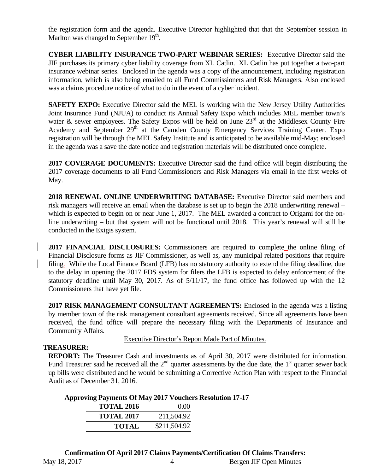the registration form and the agenda. Executive Director highlighted that that the September session in Marlton was changed to September  $19<sup>th</sup>$ .

**CYBER LIABILITY INSURANCE TWO-PART WEBINAR SERIES:** Executive Director said the JIF purchases its primary cyber liability coverage from XL Catlin. XL Catlin has put together a two-part insurance webinar series. Enclosed in the agenda was a copy of the announcement, including registration information, which is also being emailed to all Fund Commissioners and Risk Managers. Also enclosed was a claims procedure notice of what to do in the event of a cyber incident.

**SAFETY EXPO:** Executive Director said the MEL is working with the New Jersey Utility Authorities Joint Insurance Fund (NJUA) to conduct its Annual Safety Expo which includes MEL member town's water & sewer employees. The Safety Expos will be held on June  $23<sup>rd</sup>$  at the Middlesex County Fire Academy and September 29<sup>th</sup> at the Camden County Emergency Services Training Center. Expo registration will be through the MEL Safety Institute and is anticipated to be available mid-May; enclosed in the agenda was a save the date notice and registration materials will be distributed once complete.

**2017 COVERAGE DOCUMENTS:** Executive Director said the fund office will begin distributing the 2017 coverage documents to all Fund Commissioners and Risk Managers via email in the first weeks of May.

**2018 RENEWAL ONLINE UNDERWRITING DATABASE:** Executive Director said members and risk managers will receive an email when the database is set up to begin the 2018 underwriting renewal – which is expected to begin on or near June 1, 2017. The MEL awarded a contract to Origami for the online underwriting – but that system will not be functional until 2018. This year's renewal will still be conducted in the Exigis system.

**2017 FINANCIAL DISCLOSURES:** Commissioners are required to complete the online filing of Financial Disclosure forms as JIF Commissioner, as well as, any municipal related positions that require filing. While the Local Finance Board (LFB) has no statutory authority to extend the filing deadline, due to the delay in opening the 2017 FDS system for filers the LFB is expected to delay enforcement of the statutory deadline until May 30, 2017. As of 5/11/17, the fund office has followed up with the 12 Commissioners that have yet file.

**2017 RISK MANAGEMENT CONSULTANT AGREEMENTS:** Enclosed in the agenda was a listing by member town of the risk management consultant agreements received. Since all agreements have been received, the fund office will prepare the necessary filing with the Departments of Insurance and Community Affairs.

## Executive Director's Report Made Part of Minutes.

## **TREASURER:**

**REPORT:** The Treasurer Cash and investments as of April 30, 2017 were distributed for information. Fund Treasurer said he received all the  $2<sup>nd</sup>$  quarter assessments by the due date, the  $1<sup>st</sup>$  quarter sewer back up bills were distributed and he would be submitting a Corrective Action Plan with respect to the Financial Audit as of December 31, 2016.

## **Approving Payments Of May 2017 Vouchers Resolution 17-17**

| <b>TOTAL 2016</b> | 0.00         |
|-------------------|--------------|
| <b>TOTAL 2017</b> | 211,504.92   |
| <b>TOTAL</b>      | \$211,504.92 |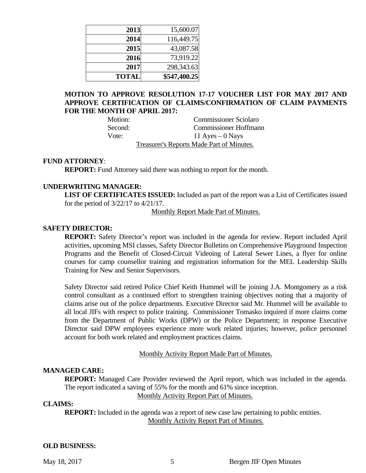| 2013         | 15,600.07    |
|--------------|--------------|
| 2014         | 116,449.75   |
| 2015         | 43,087.58    |
| 2016         | 73,919.22    |
| 2017         | 298,343.63   |
| <b>TOTAL</b> | \$547,400.25 |

## **MOTION TO APPROVE RESOLUTION 17-17 VOUCHER LIST FOR MAY 2017 AND APPROVE CERTIFICATION OF CLAIMS/CONFIRMATION OF CLAIM PAYMENTS FOR THE MONTH OF APRIL 2017:**

Motion: Commissioner Sciolaro Second: Commissioner Hoffmann Vote:  $11 \text{ Ayes} - 0 \text{ Nays}$ Treasurer's Reports Made Part of Minutes.

#### **FUND ATTORNEY**:

**REPORT:** Fund Attorney said there was nothing to report for the month.

## **UNDERWRITING MANAGER:**

**LIST OF CERTIFICATES ISSUED:** Included as part of the report was a List of Certificates issued for the period of 3/22/17 to 4/21/17.

Monthly Report Made Part of Minutes.

#### **SAFETY DIRECTOR:**

**REPORT:** Safety Director's report was included in the agenda for review. Report included April activities, upcoming MSI classes, Safety Director Bulletins on Comprehensive Playground Inspection Programs and the Benefit of Closed-Circuit Videoing of Lateral Sewer Lines, a flyer for online courses for camp counsellor training and registration information for the MEL Leadership Skills Training for New and Senior Supervisors.

Safety Director said retired Police Chief Keith Hummel will be joining J.A. Montgomery as a risk control consultant as a continued effort to strengthen training objectives noting that a majority of claims arise out of the police departments. Executive Director said Mr. Hummel will be available to all local JIFs with respect to police training. Commissioner Tomasko inquired if more claims come from the Department of Public Works (DPW) or the Police Department; in response Executive Director said DPW employees experience more work related injuries; however, police personnel account for both work related and employment practices claims.

#### Monthly Activity Report Made Part of Minutes.

#### **MANAGED CARE:**

**REPORT:** Managed Care Provider reviewed the April report, which was included in the agenda. The report indicated a saving of 55% for the month and 61% since inception.

Monthly Activity Report Part of Minutes.

## **CLAIMS:**

**REPORT:** Included in the agenda was a report of new case law pertaining to public entities. Monthly Activity Report Part of Minutes.

#### **OLD BUSINESS:**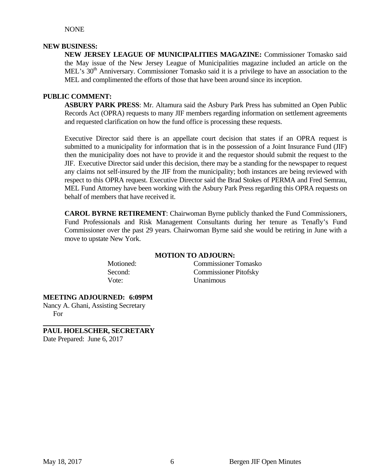NONE

## **NEW BUSINESS:**

**NEW JERSEY LEAGUE OF MUNICIPALITIES MAGAZINE:** Commissioner Tomasko said the May issue of the New Jersey League of Municipalities magazine included an article on the MEL's 30<sup>th</sup> Anniversary. Commissioner Tomasko said it is a privilege to have an association to the MEL and complimented the efforts of those that have been around since its inception.

## **PUBLIC COMMENT:**

**ASBURY PARK PRESS**: Mr. Altamura said the Asbury Park Press has submitted an Open Public Records Act (OPRA) requests to many JIF members regarding information on settlement agreements and requested clarification on how the fund office is processing these requests.

Executive Director said there is an appellate court decision that states if an OPRA request is submitted to a municipality for information that is in the possession of a Joint Insurance Fund (JIF) then the municipality does not have to provide it and the requestor should submit the request to the JIF. Executive Director said under this decision, there may be a standing for the newspaper to request any claims not self-insured by the JIF from the municipality; both instances are being reviewed with respect to this OPRA request. Executive Director said the Brad Stokes of PERMA and Fred Semrau, MEL Fund Attorney have been working with the Asbury Park Press regarding this OPRA requests on behalf of members that have received it.

**CAROL BYRNE RETIREMENT**: Chairwoman Byrne publicly thanked the Fund Commissioners, Fund Professionals and Risk Management Consultants during her tenure as Tenafly's Fund Commissioner over the past 29 years. Chairwoman Byrne said she would be retiring in June with a move to upstate New York.

#### **MOTION TO ADJOURN:**

 Motioned: Commissioner Tomasko Second: Commissioner Pitofsky Vote: Unanimous

**MEETING ADJOURNED: 6:09PM** 

Nancy A. Ghani, Assisting Secretary For

**PAUL HOELSCHER, SECRETARY**  Date Prepared: June 6, 2017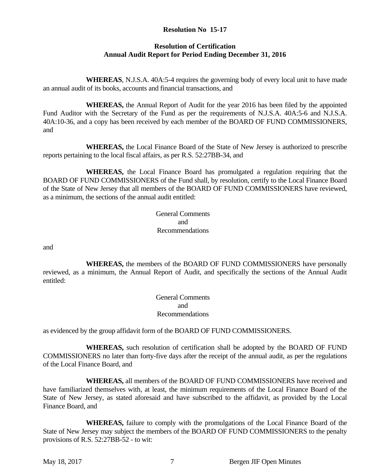## **Resolution No 15-17**

## **Resolution of Certification Annual Audit Report for Period Ending December 31, 2016**

 **WHEREAS**, N.J.S.A. 40A:5-4 requires the governing body of every local unit to have made an annual audit of its books, accounts and financial transactions, and

 **WHEREAS,** the Annual Report of Audit for the year 2016 has been filed by the appointed Fund Auditor with the Secretary of the Fund as per the requirements of N.J.S.A. 40A:5-6 and N.J.S.A. 40A:10-36, and a copy has been received by each member of the BOARD OF FUND COMMISSIONERS, and

 **WHEREAS,** the Local Finance Board of the State of New Jersey is authorized to prescribe reports pertaining to the local fiscal affairs, as per R.S. 52:27BB-34, and

 **WHEREAS,** the Local Finance Board has promulgated a regulation requiring that the BOARD OF FUND COMMISSIONERS of the Fund shall, by resolution, certify to the Local Finance Board of the State of New Jersey that all members of the BOARD OF FUND COMMISSIONERS have reviewed, as a minimum, the sections of the annual audit entitled:

 General Comments and Recommendations

and

 **WHEREAS,** the members of the BOARD OF FUND COMMISSIONERS have personally reviewed, as a minimum, the Annual Report of Audit, and specifically the sections of the Annual Audit entitled:

 General Comments and Recommendations

as evidenced by the group affidavit form of the BOARD OF FUND COMMISSIONERS.

 **WHEREAS,** such resolution of certification shall be adopted by the BOARD OF FUND COMMISSIONERS no later than forty-five days after the receipt of the annual audit, as per the regulations of the Local Finance Board, and

 **WHEREAS,** all members of the BOARD OF FUND COMMISSIONERS have received and have familiarized themselves with, at least, the minimum requirements of the Local Finance Board of the State of New Jersey, as stated aforesaid and have subscribed to the affidavit, as provided by the Local Finance Board, and

 **WHEREAS,** failure to comply with the promulgations of the Local Finance Board of the State of New Jersey may subject the members of the BOARD OF FUND COMMISSIONERS to the penalty provisions of R.S. 52:27BB-52 - to wit: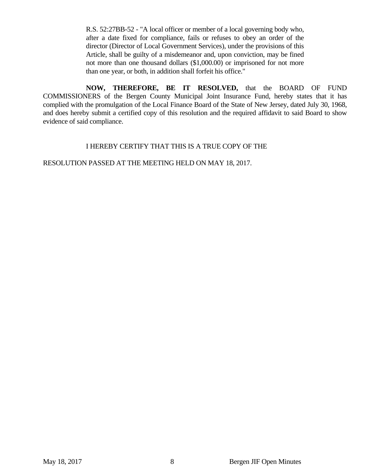R.S. 52:27BB-52 - "A local officer or member of a local governing body who, after a date fixed for compliance, fails or refuses to obey an order of the director (Director of Local Government Services), under the provisions of this Article, shall be guilty of a misdemeanor and, upon conviction, may be fined not more than one thousand dollars (\$1,000.00) or imprisoned for not more than one year, or both, in addition shall forfeit his office."

 **NOW, THEREFORE, BE IT RESOLVED,** that the BOARD OF FUND COMMISSIONERS of the Bergen County Municipal Joint Insurance Fund, hereby states that it has complied with the promulgation of the Local Finance Board of the State of New Jersey, dated July 30, 1968, and does hereby submit a certified copy of this resolution and the required affidavit to said Board to show evidence of said compliance.

## I HEREBY CERTIFY THAT THIS IS A TRUE COPY OF THE

RESOLUTION PASSED AT THE MEETING HELD ON MAY 18, 2017.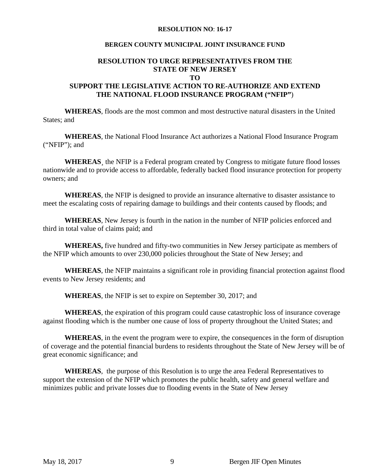#### **RESOLUTION NO**: **16-17**

## **BERGEN COUNTY MUNICIPAL JOINT INSURANCE FUND**

#### **RESOLUTION TO URGE REPRESENTATIVES FROM THE STATE OF NEW JERSEY TO**

## **SUPPORT THE LEGISLATIVE ACTION TO RE-AUTHORIZE AND EXTEND THE NATIONAL FLOOD INSURANCE PROGRAM ("NFIP"**)

**WHEREAS**, floods are the most common and most destructive natural disasters in the United States; and

**WHEREAS**, the National Flood Insurance Act authorizes a National Flood Insurance Program ("NFIP"); and

WHEREAS, the NFIP is a Federal program created by Congress to mitigate future flood losses nationwide and to provide access to affordable, federally backed flood insurance protection for property owners; and

**WHEREAS**, the NFIP is designed to provide an insurance alternative to disaster assistance to meet the escalating costs of repairing damage to buildings and their contents caused by floods; and

**WHEREAS**, New Jersey is fourth in the nation in the number of NFIP policies enforced and third in total value of claims paid; and

**WHEREAS,** five hundred and fifty-two communities in New Jersey participate as members of the NFIP which amounts to over 230,000 policies throughout the State of New Jersey; and

**WHEREAS**, the NFIP maintains a significant role in providing financial protection against flood events to New Jersey residents; and

**WHEREAS**, the NFIP is set to expire on September 30, 2017; and

**WHEREAS**, the expiration of this program could cause catastrophic loss of insurance coverage against flooding which is the number one cause of loss of property throughout the United States; and

**WHEREAS**, in the event the program were to expire, the consequences in the form of disruption of coverage and the potential financial burdens to residents throughout the State of New Jersey will be of great economic significance; and

**WHEREAS**, the purpose of this Resolution is to urge the area Federal Representatives to support the extension of the NFIP which promotes the public health, safety and general welfare and minimizes public and private losses due to flooding events in the State of New Jersey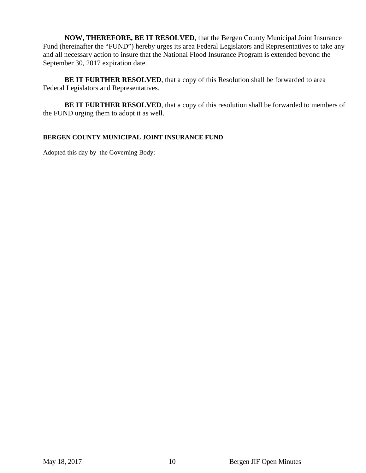**NOW, THEREFORE, BE IT RESOLVED**, that the Bergen County Municipal Joint Insurance Fund (hereinafter the "FUND") hereby urges its area Federal Legislators and Representatives to take any and all necessary action to insure that the National Flood Insurance Program is extended beyond the September 30, 2017 expiration date.

**BE IT FURTHER RESOLVED**, that a copy of this Resolution shall be forwarded to area Federal Legislators and Representatives.

**BE IT FURTHER RESOLVED**, that a copy of this resolution shall be forwarded to members of the FUND urging them to adopt it as well.

## **BERGEN COUNTY MUNICIPAL JOINT INSURANCE FUND**

Adopted this day by the Governing Body: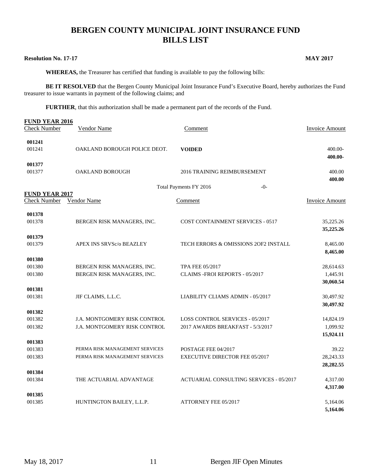# **BERGEN COUNTY MUNICIPAL JOINT INSURANCE FUND BILLS LIST**

#### **Resolution No. 17-17 MAY 2017**

 **WHEREAS,** the Treasurer has certified that funding is available to pay the following bills:

**BE IT RESOLVED** that the Bergen County Municipal Joint Insurance Fund's Executive Board, hereby authorizes the Fund treasurer to issue warrants in payment of the following claims; and

**FURTHER**, that this authorization shall be made a permanent part of the records of the Fund.

| <b>FUND YEAR 2016</b><br><b>Check Number</b> | Vendor Name                         | Comment                                        | <b>Invoice Amount</b> |
|----------------------------------------------|-------------------------------------|------------------------------------------------|-----------------------|
| 001241<br>001241                             | OAKLAND BOROUGH POLICE DEOT.        | <b>VOIDED</b>                                  | 400.00-               |
|                                              |                                     |                                                | 400.00-               |
| 001377<br>001377                             | OAKLAND BOROUGH                     | 2016 TRAINING REIMBURSEMENT                    | 400.00                |
|                                              |                                     |                                                | 400.00                |
|                                              |                                     | Total Payments FY 2016<br>$-0-$                |                       |
| <b>FUND YEAR 2017</b>                        |                                     |                                                |                       |
| <b>Check Number</b>                          | Vendor Name                         | Comment                                        | <b>Invoice Amount</b> |
| 001378                                       |                                     |                                                |                       |
| 001378                                       | BERGEN RISK MANAGERS, INC.          | <b>COST CONTAINMENT SERVICES - 0517</b>        | 35,225.26             |
|                                              |                                     |                                                | 35,225.26             |
| 001379                                       |                                     |                                                |                       |
| 001379                                       | APEX INS SRVSc/o BEAZLEY            | TECH ERRORS & OMISSIONS 2OF2 INSTALL           | 8,465.00<br>8,465.00  |
| 001380                                       |                                     |                                                |                       |
| 001380                                       | BERGEN RISK MANAGERS, INC.          | TPA FEE 05/2017                                | 28,614.63             |
| 001380                                       | BERGEN RISK MANAGERS, INC.          | CLAIMS -FROI REPORTS - 05/2017                 | 1,445.91              |
|                                              |                                     |                                                | 30,060.54             |
| 001381                                       |                                     |                                                |                       |
| 001381                                       | JIF CLAIMS, L.L.C.                  | LIABILITY CLIAMS ADMIN - 05/2017               | 30,497.92             |
| 001382                                       |                                     |                                                | 30,497.92             |
| 001382                                       | <b>J.A. MONTGOMERY RISK CONTROL</b> | <b>LOSS CONTROL SERVICES - 05/2017</b>         | 14,824.19             |
| 001382                                       | J.A. MONTGOMERY RISK CONTROL        | 2017 AWARDS BREAKFAST - 5/3/2017               | 1,099.92              |
|                                              |                                     |                                                | 15,924.11             |
| 001383                                       |                                     |                                                |                       |
| 001383                                       | PERMA RISK MANAGEMENT SERVICES      | POSTAGE FEE 04/2017                            | 39.22                 |
| 001383                                       | PERMA RISK MANAGEMENT SERVICES      | <b>EXECUTIVE DIRECTOR FEE 05/2017</b>          | 28,243.33             |
|                                              |                                     |                                                | 28,282.55             |
| 001384                                       |                                     |                                                |                       |
| 001384                                       | THE ACTUARIAL ADVANTAGE             | <b>ACTUARIAL CONSULTING SERVICES - 05/2017</b> | 4,317.00<br>4,317.00  |
| 001385                                       |                                     |                                                |                       |
| 001385                                       | HUNTINGTON BAILEY, L.L.P.           | <b>ATTORNEY FEE 05/2017</b>                    | 5,164.06              |
|                                              |                                     |                                                | 5,164.06              |